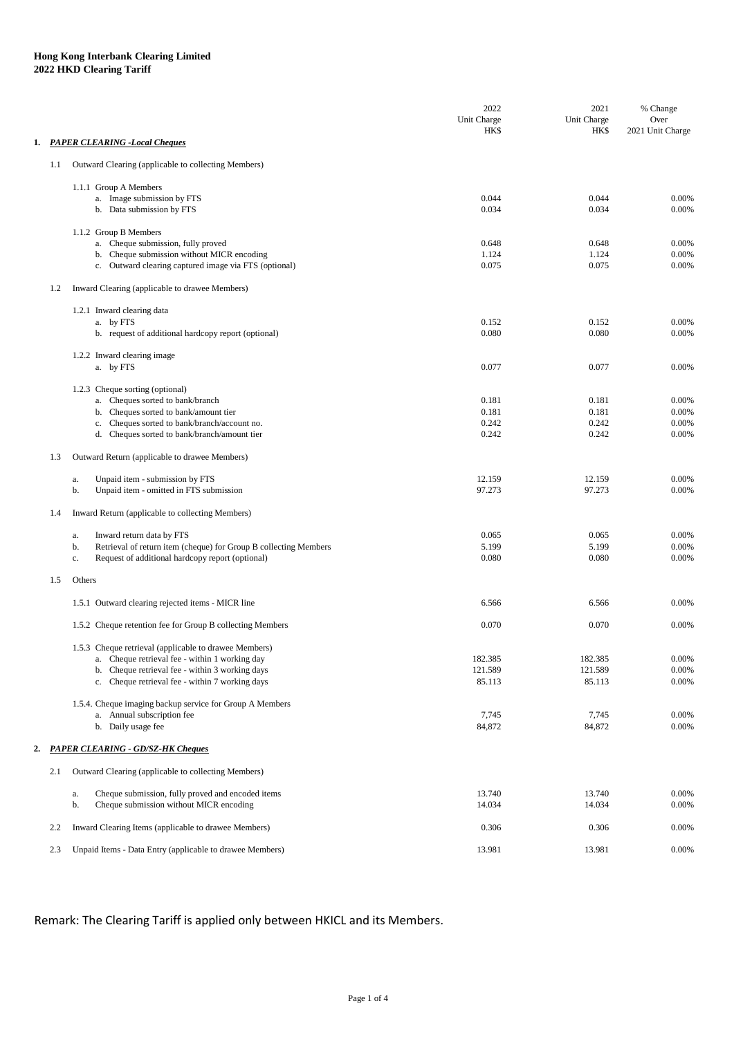|    |         |                                                                        | 2022<br>Unit Charge | 2021<br>Unit Charge | % Change<br>Over |
|----|---------|------------------------------------------------------------------------|---------------------|---------------------|------------------|
|    |         | 1. PAPER CLEARING - Local Cheques                                      | <b>HK\$</b>         | <b>HKS</b>          | 2021 Unit Charge |
|    |         |                                                                        |                     |                     |                  |
|    | $1.1\,$ | Outward Clearing (applicable to collecting Members)                    |                     |                     |                  |
|    |         | 1.1.1 Group A Members                                                  |                     |                     |                  |
|    |         | a. Image submission by FTS                                             | 0.044               | 0.044               | 0.00%            |
|    |         | b. Data submission by FTS                                              | 0.034               | 0.034               | 0.00%            |
|    |         | 1.1.2 Group B Members                                                  |                     |                     |                  |
|    |         | a. Cheque submission, fully proved                                     | 0.648               | 0.648               | 0.00%            |
|    |         | b. Cheque submission without MICR encoding                             | 1.124               | 1.124               | 0.00%            |
|    |         | c. Outward clearing captured image via FTS (optional)                  | 0.075               | 0.075               | 0.00%            |
|    | 1.2     | Inward Clearing (applicable to drawee Members)                         |                     |                     |                  |
|    |         | 1.2.1 Inward clearing data                                             |                     |                     |                  |
|    |         | a. by FTS                                                              | 0.152               | 0.152               | 0.00%            |
|    |         | b. request of additional hardcopy report (optional)                    | 0.080               | 0.080               | 0.00%            |
|    |         | 1.2.2 Inward clearing image                                            |                     |                     |                  |
|    |         | a. by FTS                                                              | 0.077               | 0.077               | 0.00%            |
|    |         | 1.2.3 Cheque sorting (optional)                                        |                     |                     |                  |
|    |         | a. Cheques sorted to bank/branch                                       | 0.181               | 0.181               | 0.00%            |
|    |         | b. Cheques sorted to bank/amount tier                                  | 0.181               | 0.181               | 0.00%            |
|    |         | c. Cheques sorted to bank/branch/account no.                           | 0.242               | 0.242               | 0.00%            |
|    |         | d. Cheques sorted to bank/branch/amount tier                           | 0.242               | 0.242               | 0.00%            |
|    | 1.3     | Outward Return (applicable to drawee Members)                          |                     |                     |                  |
|    |         | Unpaid item - submission by FTS<br>a.                                  | 12.159              | 12.159              | 0.00%            |
|    |         | Unpaid item - omitted in FTS submission<br>b.                          | 97.273              | 97.273              | 0.00%            |
|    | 1.4     | Inward Return (applicable to collecting Members)                       |                     |                     |                  |
|    |         | Inward return data by FTS<br>a.                                        | 0.065               | 0.065               | 0.00%            |
|    |         | Retrieval of return item (cheque) for Group B collecting Members<br>b. | 5.199               | 5.199               | 0.00%            |
|    |         | Request of additional hardcopy report (optional)<br>c.                 | 0.080               | 0.080               | 0.00%            |
|    | 1.5     | Others                                                                 |                     |                     |                  |
|    |         | 1.5.1 Outward clearing rejected items - MICR line                      | 6.566               | 6.566               | 0.00%            |
|    |         | 1.5.2 Cheque retention fee for Group B collecting Members              | 0.070               | 0.070               | 0.00%            |
|    |         | 1.5.3 Cheque retrieval (applicable to drawee Members)                  |                     |                     |                  |
|    |         | a. Cheque retrieval fee - within 1 working day                         | 182.385             | 182.385             | 0.00%            |
|    |         | b. Cheque retrieval fee - within 3 working days                        | 121.589             | 121.589             | 0.00%            |
|    |         | c. Cheque retrieval fee - within 7 working days                        | 85.113              | 85.113              | 0.00%            |
|    |         | 1.5.4. Cheque imaging backup service for Group A Members               |                     |                     |                  |
|    |         | a. Annual subscription fee                                             | 7,745               | 7,745               | 0.00%            |
|    |         | b. Daily usage fee                                                     | 84,872              | 84,872              | 0.00%            |
| 2. |         | <b>PAPER CLEARING - GD/SZ-HK Cheques</b>                               |                     |                     |                  |
|    | 2.1     | Outward Clearing (applicable to collecting Members)                    |                     |                     |                  |
|    |         |                                                                        |                     |                     |                  |
|    |         | Cheque submission, fully proved and encoded items<br>a.                | 13.740              | 13.740              | 0.00%            |
|    |         | Cheque submission without MICR encoding<br>b.                          | 14.034              | 14.034              | 0.00%            |
|    | 2.2     | Inward Clearing Items (applicable to drawee Members)                   | 0.306               | 0.306               | 0.00%            |
|    | 2.3     | Unpaid Items - Data Entry (applicable to drawee Members)               | 13.981              | 13.981              | 0.00%            |

Remark: The Clearing Tariff is applied only between HKICL and its Members.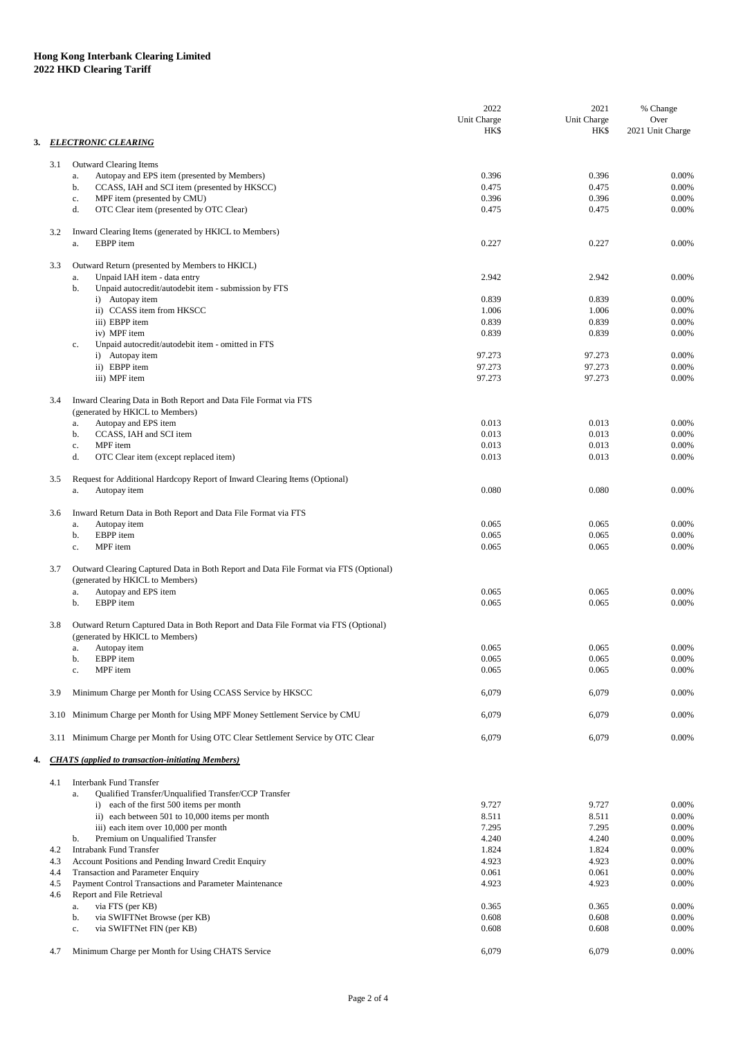|    |                                                                                                                                 | 2022                       | 2021                       | % Change                 |
|----|---------------------------------------------------------------------------------------------------------------------------------|----------------------------|----------------------------|--------------------------|
|    |                                                                                                                                 | Unit Charge<br><b>HK\$</b> | Unit Charge<br><b>HK\$</b> | Over<br>2021 Unit Charge |
| 3. | <b>ELECTRONIC CLEARING</b>                                                                                                      |                            |                            |                          |
|    |                                                                                                                                 |                            |                            |                          |
|    | Outward Clearing Items<br>3.1<br>Autopay and EPS item (presented by Members)<br>a.                                              | 0.396                      | 0.396                      | 0.00%                    |
|    | CCASS, IAH and SCI item (presented by HKSCC)<br>b.                                                                              | 0.475                      | 0.475                      | 0.00%                    |
|    | MPF item (presented by CMU)<br>$\mathbf{c}.$                                                                                    | 0.396                      | 0.396                      | 0.00%                    |
|    | d.<br>OTC Clear item (presented by OTC Clear)                                                                                   | 0.475                      | 0.475                      | 0.00%                    |
|    | 3.2<br>Inward Clearing Items (generated by HKICL to Members)<br>EBPP item<br>a.                                                 | 0.227                      | 0.227                      | 0.00%                    |
|    | 3.3<br>Outward Return (presented by Members to HKICL)                                                                           |                            |                            |                          |
|    | Unpaid IAH item - data entry<br>a.                                                                                              | 2.942                      | 2.942                      | 0.00%                    |
|    | Unpaid autocredit/autodebit item - submission by FTS<br>b.<br>i) Autopay item                                                   | 0.839                      | 0.839                      | 0.00%                    |
|    | ii) CCASS item from HKSCC                                                                                                       | 1.006                      | 1.006                      | 0.00%                    |
|    | iii) EBPP item                                                                                                                  | 0.839                      | 0.839                      | 0.00%                    |
|    | iv) MPF item                                                                                                                    | 0.839                      | 0.839                      | 0.00%                    |
|    | Unpaid autocredit/autodebit item - omitted in FTS<br>c.                                                                         |                            |                            |                          |
|    | i) Autopay item<br>ii) EBPP item                                                                                                | 97.273<br>97.273           | 97.273                     | 0.00%<br>0.00%           |
|    | iii) MPF item                                                                                                                   | 97.273                     | 97.273<br>97.273           | 0.00%                    |
|    |                                                                                                                                 |                            |                            |                          |
|    | Inward Clearing Data in Both Report and Data File Format via FTS<br>3.4                                                         |                            |                            |                          |
|    | (generated by HKICL to Members)                                                                                                 |                            |                            |                          |
|    | Autopay and EPS item<br>a.<br>CCASS, IAH and SCI item<br>b.                                                                     | 0.013<br>0.013             | 0.013<br>0.013             | 0.00%<br>0.00%           |
|    | MPF item<br>c.                                                                                                                  | 0.013                      | 0.013                      | 0.00%                    |
|    | d.<br>OTC Clear item (except replaced item)                                                                                     | 0.013                      | 0.013                      | 0.00%                    |
|    |                                                                                                                                 |                            |                            |                          |
|    | Request for Additional Hardcopy Report of Inward Clearing Items (Optional)<br>3.5<br>Autopay item<br>a.                         | 0.080                      | 0.080                      | 0.00%                    |
|    |                                                                                                                                 |                            |                            |                          |
|    | Inward Return Data in Both Report and Data File Format via FTS<br>3.6<br>Autopay item<br>a.                                     | 0.065                      | 0.065                      | 0.00%                    |
|    | EBPP item<br>b.                                                                                                                 | 0.065                      | 0.065                      | 0.00%                    |
|    | MPF item<br>c.                                                                                                                  | 0.065                      | 0.065                      | 0.00%                    |
|    | Outward Clearing Captured Data in Both Report and Data File Format via FTS (Optional)<br>3.7<br>(generated by HKICL to Members) |                            |                            |                          |
|    | Autopay and EPS item<br>a.                                                                                                      | 0.065                      | 0.065                      | 0.00%                    |
|    | EBPP item<br>b.                                                                                                                 | 0.065                      | 0.065                      | 0.00%                    |
|    | Outward Return Captured Data in Both Report and Data File Format via FTS (Optional)<br>3.8<br>(generated by HKICL to Members)   |                            |                            |                          |
|    | Autopay item<br>a.                                                                                                              | 0.065                      | 0.065                      | 0.00%                    |
|    | EBPP item<br>b.                                                                                                                 | 0.065                      | 0.065                      | 0.00%                    |
|    | MPF item<br>c.                                                                                                                  | 0.065                      | 0.065                      | 0.00%                    |
|    | 3.9<br>Minimum Charge per Month for Using CCASS Service by HKSCC                                                                | 6,079                      | 6,079                      | 0.00%                    |
|    | 3.10 Minimum Charge per Month for Using MPF Money Settlement Service by CMU                                                     | 6,079                      | 6,079                      | 0.00%                    |
|    | 3.11 Minimum Charge per Month for Using OTC Clear Settlement Service by OTC Clear                                               | 6,079                      | 6,079                      | 0.00%                    |
| 4. | <b>CHATS</b> (applied to transaction-initiating Members)                                                                        |                            |                            |                          |
|    |                                                                                                                                 |                            |                            |                          |
|    | <b>Interbank Fund Transfer</b><br>4.1<br>Qualified Transfer/Unqualified Transfer/CCP Transfer<br>a.                             |                            |                            |                          |
|    | i) each of the first 500 items per month                                                                                        | 9.727                      | 9.727                      | 0.00%                    |
|    | ii) each between 501 to 10,000 items per month                                                                                  | 8.511                      | 8.511                      | 0.00%                    |
|    | iii) each item over 10,000 per month                                                                                            | 7.295                      | 7.295                      | 0.00%                    |
|    | Premium on Unqualified Transfer<br>b.                                                                                           | 4.240                      | 4.240                      | 0.00%                    |
|    | <b>Intrabank Fund Transfer</b><br>4.2<br>Account Positions and Pending Inward Credit Enquiry<br>4.3                             | 1.824<br>4.923             | 1.824<br>4.923             | 0.00%<br>0.00%           |
|    | Transaction and Parameter Enquiry<br>4.4                                                                                        | 0.061                      | 0.061                      | 0.00%                    |
|    | Payment Control Transactions and Parameter Maintenance<br>4.5                                                                   | 4.923                      | 4.923                      | 0.00%                    |
|    | 4.6<br>Report and File Retrieval                                                                                                |                            |                            |                          |
|    | via FTS (per KB)<br>a.                                                                                                          | 0.365                      | 0.365                      | 0.00%                    |
|    | via SWIFTNet Browse (per KB)<br>b.                                                                                              | 0.608                      | 0.608                      | 0.00%                    |
|    | via SWIFTNet FIN (per KB)<br>$\mathbf{c}.$                                                                                      | 0.608                      | 0.608                      | 0.00%                    |
|    | Minimum Charge per Month for Using CHATS Service<br>4.7                                                                         | 6,079                      | 6,079                      | 0.00%                    |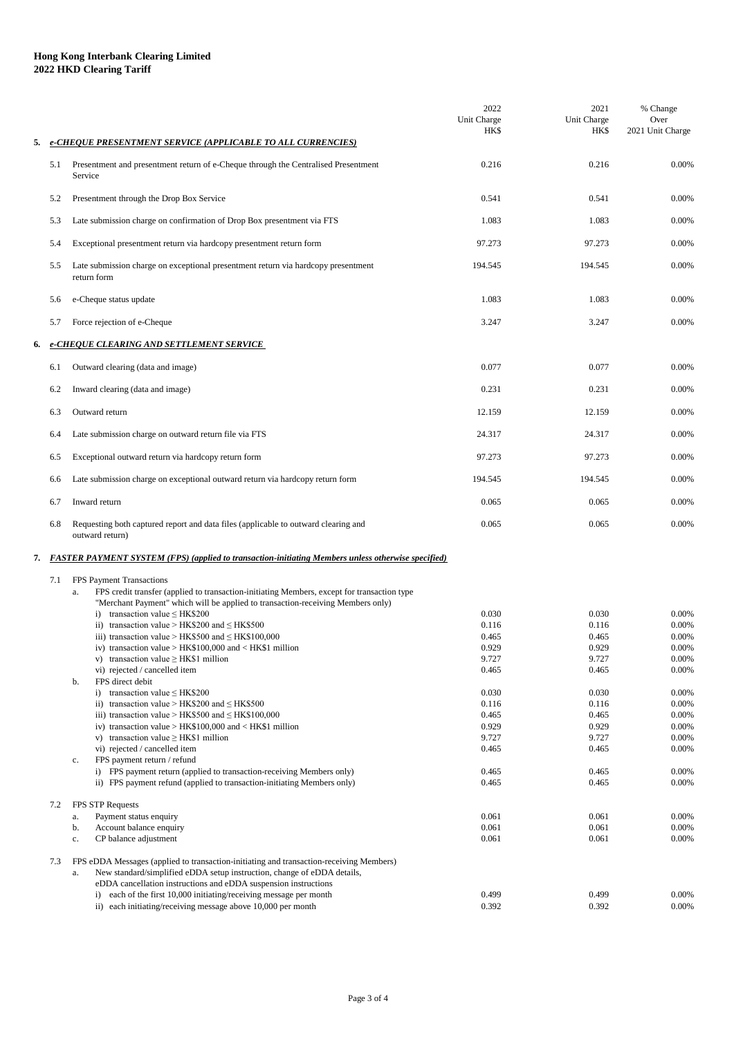## **Hong Kong Interbank Clearing Limited 2022 HKD Clearing Tariff**

| 5. |            | e-CHEQUE PRESENTMENT SERVICE (APPLICABLE TO ALL CURRENCIES)                                                                                                                                                                                                                                                                                                                                                                                                                                                                                                                                                                                                                                                                                                                                                                                                                                                                                                                                                                                                                                                                                                                           | 2022<br>Unit Charge<br><b>HK\$</b>                                                                                                                    | 2021<br>Unit Charge<br><b>HKS</b>                                                                                                                     | % Change<br>Over<br>2021 Unit Charge                                                                                                                     |  |  |  |
|----|------------|---------------------------------------------------------------------------------------------------------------------------------------------------------------------------------------------------------------------------------------------------------------------------------------------------------------------------------------------------------------------------------------------------------------------------------------------------------------------------------------------------------------------------------------------------------------------------------------------------------------------------------------------------------------------------------------------------------------------------------------------------------------------------------------------------------------------------------------------------------------------------------------------------------------------------------------------------------------------------------------------------------------------------------------------------------------------------------------------------------------------------------------------------------------------------------------|-------------------------------------------------------------------------------------------------------------------------------------------------------|-------------------------------------------------------------------------------------------------------------------------------------------------------|----------------------------------------------------------------------------------------------------------------------------------------------------------|--|--|--|
|    | 5.1        | Presentment and presentment return of e-Cheque through the Centralised Presentment<br>Service                                                                                                                                                                                                                                                                                                                                                                                                                                                                                                                                                                                                                                                                                                                                                                                                                                                                                                                                                                                                                                                                                         | 0.216                                                                                                                                                 | 0.216                                                                                                                                                 | 0.00%                                                                                                                                                    |  |  |  |
|    | 5.2        | Presentment through the Drop Box Service                                                                                                                                                                                                                                                                                                                                                                                                                                                                                                                                                                                                                                                                                                                                                                                                                                                                                                                                                                                                                                                                                                                                              | 0.541                                                                                                                                                 | 0.541                                                                                                                                                 | 0.00%                                                                                                                                                    |  |  |  |
|    | 5.3        | Late submission charge on confirmation of Drop Box presentment via FTS                                                                                                                                                                                                                                                                                                                                                                                                                                                                                                                                                                                                                                                                                                                                                                                                                                                                                                                                                                                                                                                                                                                | 1.083                                                                                                                                                 | 1.083                                                                                                                                                 | 0.00%                                                                                                                                                    |  |  |  |
|    | 5.4        | Exceptional presentment return via hardcopy presentment return form                                                                                                                                                                                                                                                                                                                                                                                                                                                                                                                                                                                                                                                                                                                                                                                                                                                                                                                                                                                                                                                                                                                   | 97.273                                                                                                                                                | 97.273                                                                                                                                                | 0.00%                                                                                                                                                    |  |  |  |
|    | 5.5        | Late submission charge on exceptional presentment return via hardcopy presentment<br>return form                                                                                                                                                                                                                                                                                                                                                                                                                                                                                                                                                                                                                                                                                                                                                                                                                                                                                                                                                                                                                                                                                      | 194.545                                                                                                                                               | 194.545                                                                                                                                               | 0.00%                                                                                                                                                    |  |  |  |
|    | 5.6        | e-Cheque status update                                                                                                                                                                                                                                                                                                                                                                                                                                                                                                                                                                                                                                                                                                                                                                                                                                                                                                                                                                                                                                                                                                                                                                | 1.083                                                                                                                                                 | 1.083                                                                                                                                                 | 0.00%                                                                                                                                                    |  |  |  |
|    | 5.7        | Force rejection of e-Cheque                                                                                                                                                                                                                                                                                                                                                                                                                                                                                                                                                                                                                                                                                                                                                                                                                                                                                                                                                                                                                                                                                                                                                           | 3.247                                                                                                                                                 | 3.247                                                                                                                                                 | 0.00%                                                                                                                                                    |  |  |  |
| 6. |            | e-CHEQUE CLEARING AND SETTLEMENT SERVICE                                                                                                                                                                                                                                                                                                                                                                                                                                                                                                                                                                                                                                                                                                                                                                                                                                                                                                                                                                                                                                                                                                                                              |                                                                                                                                                       |                                                                                                                                                       |                                                                                                                                                          |  |  |  |
|    | 6.1        | Outward clearing (data and image)                                                                                                                                                                                                                                                                                                                                                                                                                                                                                                                                                                                                                                                                                                                                                                                                                                                                                                                                                                                                                                                                                                                                                     | 0.077                                                                                                                                                 | 0.077                                                                                                                                                 | 0.00%                                                                                                                                                    |  |  |  |
|    | 6.2        | Inward clearing (data and image)                                                                                                                                                                                                                                                                                                                                                                                                                                                                                                                                                                                                                                                                                                                                                                                                                                                                                                                                                                                                                                                                                                                                                      | 0.231                                                                                                                                                 | 0.231                                                                                                                                                 | 0.00%                                                                                                                                                    |  |  |  |
|    | 6.3        | Outward return                                                                                                                                                                                                                                                                                                                                                                                                                                                                                                                                                                                                                                                                                                                                                                                                                                                                                                                                                                                                                                                                                                                                                                        | 12.159                                                                                                                                                | 12.159                                                                                                                                                | 0.00%                                                                                                                                                    |  |  |  |
|    | 6.4        | Late submission charge on outward return file via FTS                                                                                                                                                                                                                                                                                                                                                                                                                                                                                                                                                                                                                                                                                                                                                                                                                                                                                                                                                                                                                                                                                                                                 | 24.317                                                                                                                                                | 24.317                                                                                                                                                | 0.00%                                                                                                                                                    |  |  |  |
|    | 6.5        | Exceptional outward return via hardcopy return form                                                                                                                                                                                                                                                                                                                                                                                                                                                                                                                                                                                                                                                                                                                                                                                                                                                                                                                                                                                                                                                                                                                                   | 97.273                                                                                                                                                | 97.273                                                                                                                                                | 0.00%                                                                                                                                                    |  |  |  |
|    | 6.6        | Late submission charge on exceptional outward return via hardcopy return form                                                                                                                                                                                                                                                                                                                                                                                                                                                                                                                                                                                                                                                                                                                                                                                                                                                                                                                                                                                                                                                                                                         | 194.545                                                                                                                                               | 194.545                                                                                                                                               | 0.00%                                                                                                                                                    |  |  |  |
|    | 6.7        | Inward return                                                                                                                                                                                                                                                                                                                                                                                                                                                                                                                                                                                                                                                                                                                                                                                                                                                                                                                                                                                                                                                                                                                                                                         | 0.065                                                                                                                                                 | 0.065                                                                                                                                                 | 0.00%                                                                                                                                                    |  |  |  |
|    | 6.8        | Requesting both captured report and data files (applicable to outward clearing and<br>outward return)                                                                                                                                                                                                                                                                                                                                                                                                                                                                                                                                                                                                                                                                                                                                                                                                                                                                                                                                                                                                                                                                                 | 0.065                                                                                                                                                 | 0.065                                                                                                                                                 | 0.00%                                                                                                                                                    |  |  |  |
|    |            | 7. FASTER PAYMENT SYSTEM (FPS) (applied to transaction-initiating Members unless otherwise specified)                                                                                                                                                                                                                                                                                                                                                                                                                                                                                                                                                                                                                                                                                                                                                                                                                                                                                                                                                                                                                                                                                 |                                                                                                                                                       |                                                                                                                                                       |                                                                                                                                                          |  |  |  |
|    | 7.1<br>7.2 | FPS Payment Transactions<br>FPS credit transfer (applied to transaction-initiating Members, except for transaction type<br>a.<br>"Merchant Payment" which will be applied to transaction-receiving Members only)<br>i) transaction value $\leq$ HK\$200<br>ii) transaction value > HK\$200 and $\leq$ HK\$500<br>iii) transaction value > HK\$500 and $\leq$ HK\$100,000<br>iv) transaction value > $HK$100,000$ and < $HK$1$ million<br>v) transaction value $\geq$ HK\$1 million<br>vi) rejected / cancelled item<br>FPS direct debit<br>b.<br>transaction value $\leq$ HK\$200<br>$\mathbf{i}$<br>ii) transaction value > HK\$200 and $\leq$ HK\$500<br>iii) transaction value > HK\$500 and $\leq$ HK\$100,000<br>iv) transaction value > $HK$100,000$ and < $HK$1$ million<br>v) transaction value $\geq$ HK\$1 million<br>vi) rejected / cancelled item<br>FPS payment return / refund<br>c.<br>i) FPS payment return (applied to transaction-receiving Members only)<br>ii) FPS payment refund (applied to transaction-initiating Members only)<br>FPS STP Requests<br>Payment status enquiry<br>a.<br>Account balance enquiry<br>b.<br>CP balance adjustment<br>$\mathbf{c}.$ | 0.030<br>0.116<br>0.465<br>0.929<br>9.727<br>0.465<br>0.030<br>0.116<br>0.465<br>0.929<br>9.727<br>0.465<br>0.465<br>0.465<br>0.061<br>0.061<br>0.061 | 0.030<br>0.116<br>0.465<br>0.929<br>9.727<br>0.465<br>0.030<br>0.116<br>0.465<br>0.929<br>9.727<br>0.465<br>0.465<br>0.465<br>0.061<br>0.061<br>0.061 | 0.00%<br>0.00%<br>0.00%<br>0.00%<br>0.00%<br>0.00%<br>0.00%<br>0.00%<br>0.00%<br>0.00%<br>0.00%<br>0.00%<br>0.00%<br>0.00%<br>0.00%<br>0.00%<br>$0.00\%$ |  |  |  |
|    | 7.3        | eDDA Messages (applied to transaction-initiating and transaction-receiving Members)<br>FPS<br>New standard/simplified eDDA setup instruction, change of eDDA details,<br>a.<br>eDDA cancellation instructions and eDDA suspension instructions<br>each of the first 10,000 initiating/receiving message per month<br>i)<br>ii) each initiating/receiving message above 10,000 per month                                                                                                                                                                                                                                                                                                                                                                                                                                                                                                                                                                                                                                                                                                                                                                                               | 0.499<br>0.392                                                                                                                                        | 0.499<br>0.392                                                                                                                                        | 0.00%<br>0.00%                                                                                                                                           |  |  |  |